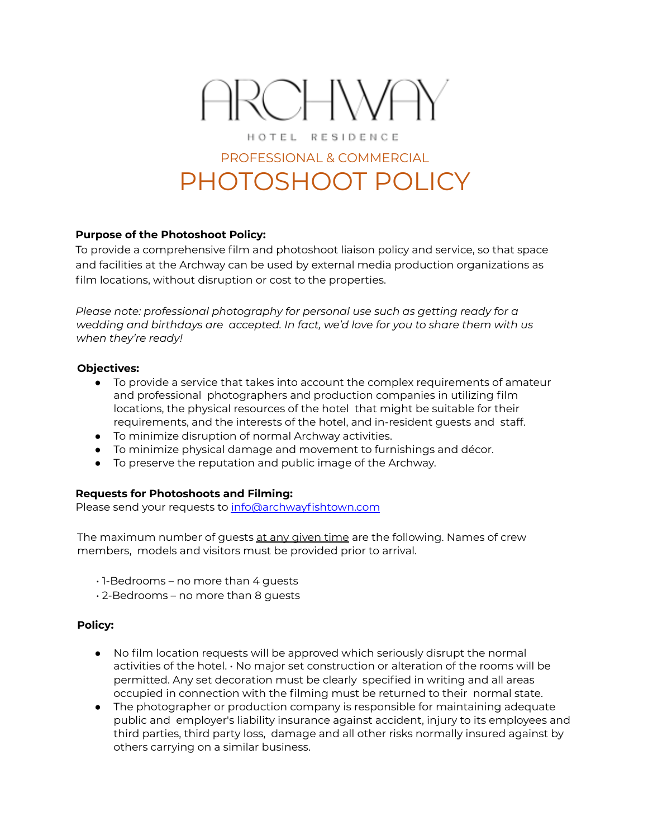# ARCHWAY HOTEL RESIDENCE

## PROFESSIONAL & COMMERCIAL PHOTOSHOOT POLICY

### **Purpose of the Photoshoot Policy:**

To provide a comprehensive film and photoshoot liaison policy and service, so that space and facilities at the Archway can be used by external media production organizations as film locations, without disruption or cost to the properties.

*Please note: professional photography for personal use such as getting ready for a wedding and birthdays are accepted. In fact, we'd love for you to share them with us when they're ready!*

#### **Objectives:**

- To provide a service that takes into account the complex requirements of amateur and professional photographers and production companies in utilizing film locations, the physical resources of the hotel that might be suitable for their requirements, and the interests of the hotel, and in-resident guests and staff.
- To minimize disruption of normal Archway activities.
- To minimize physical damage and movement to furnishings and décor.
- To preserve the reputation and public image of the Archway.

### **Requests for Photoshoots and Filming:**

Please send your requests to info@archwayfishtown.com

The maximum number of quests at any given time are the following. Names of crew members, models and visitors must be provided prior to arrival.

- $\cdot$  1-Bedrooms no more than 4 guests
- 2-Bedrooms no more than 8 guests

#### **Policy:**

- No film location requests will be approved which seriously disrupt the normal activities of the hotel. • No major set construction or alteration of the rooms will be permitted. Any set decoration must be clearly specified in writing and all areas occupied in connection with the filming must be returned to their normal state.
- The photographer or production company is responsible for maintaining adequate public and employer's liability insurance against accident, injury to its employees and third parties, third party loss, damage and all other risks normally insured against by others carrying on a similar business.